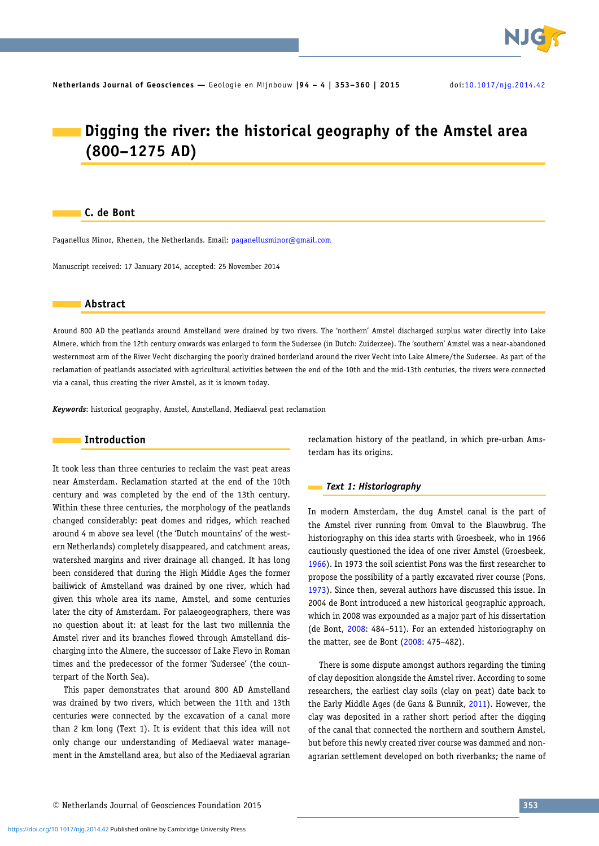

# **Digging the river: the historical geography of the Amstel area (800–1275 AD)**

## **C. de Bont**

Paganellus Minor, Rhenen, the Netherlands. Email: [paganellusminor@gmail.com](mailto:paganellusminor@gmail.com)

Manuscript received: 17 January 2014, accepted: 25 November 2014

# **Abstract**

Around 800 AD the peatlands around Amstelland were drained by two rivers. The 'northern' Amstel discharged surplus water directly into Lake Almere, which from the 12th century onwards was enlarged to form the Sudersee (in Dutch: Zuiderzee). The 'southern' Amstel was a near-abandoned westernmost arm of the River Vecht discharging the poorly drained borderland around the river Vecht into Lake Almere/the Sudersee. As part of the reclamation of peatlands associated with agricultural activities between the end of the 10th and the mid-13th centuries, the rivers were connected via a canal, thus creating the river Amstel, as it is known today.

*Keywords*: historical geography, Amstel, Amstelland, Mediaeval peat reclamation

## **Introduction**

It took less than three centuries to reclaim the vast peat areas near Amsterdam. Reclamation started at the end of the 10th century and was completed by the end of the 13th century. Within these three centuries, the morphology of the peatlands changed considerably: peat domes and ridges, which reached around 4 m above sea level (the 'Dutch mountains' of the western Netherlands) completely disappeared, and catchment areas, watershed margins and river drainage all changed. It has long been considered that during the High Middle Ages the former bailiwick of Amstelland was drained by one river, which had given this whole area its name, Amstel, and some centuries later the city of Amsterdam. For palaeogeographers, there was no question about it: at least for the last two millennia the Amstel river and its branches flowed through Amstelland discharging into the Almere, the successor of Lake Flevo in Roman times and the predecessor of the former 'Sudersee' (the counterpart of the North Sea).

This paper demonstrates that around 800 AD Amstelland was drained by two rivers, which between the 11th and 13th centuries were connected by the excavation of a canal more than 2 km long (Text 1). It is evident that this idea will not only change our understanding of Mediaeval water management in the Amstelland area, but also of the Mediaeval agrarian

reclamation history of the peatland, in which pre-urban Amsterdam has its origins.

#### *Text 1: Historiography*

In modern Amsterdam, the dug Amstel canal is the part of the Amstel river running from Omval to the Blauwbrug. The historiography on this idea starts with Groesbeek, who in 1966 cautiously questioned the idea of one river Amstel (Groesbeek, [1966\)](#page-6-0). In 1973 the soil scientist Pons was the first researcher to propose the possibility of a partly excavated river course (Pons, [1973\)](#page-6-0). Since then, several authors have discussed this issue. In 2004 de Bont introduced a new historical geographic approach, which in 2008 was expounded as a major part of his dissertation (de Bont, [2008:](#page-6-0) 484–511). For an extended historiography on the matter, see de Bont [\(2008:](#page-6-0) 475–482).

There is some dispute amongst authors regarding the timing of clay deposition alongside the Amstel river. According to some researchers, the earliest clay soils (clay on peat) date back to the Early Middle Ages (de Gans & Bunnik, [2011\)](#page-6-0). However, the clay was deposited in a rather short period after the digging of the canal that connected the northern and southern Amstel, but before this newly created river course was dammed and nonagrarian settlement developed on both riverbanks; the name of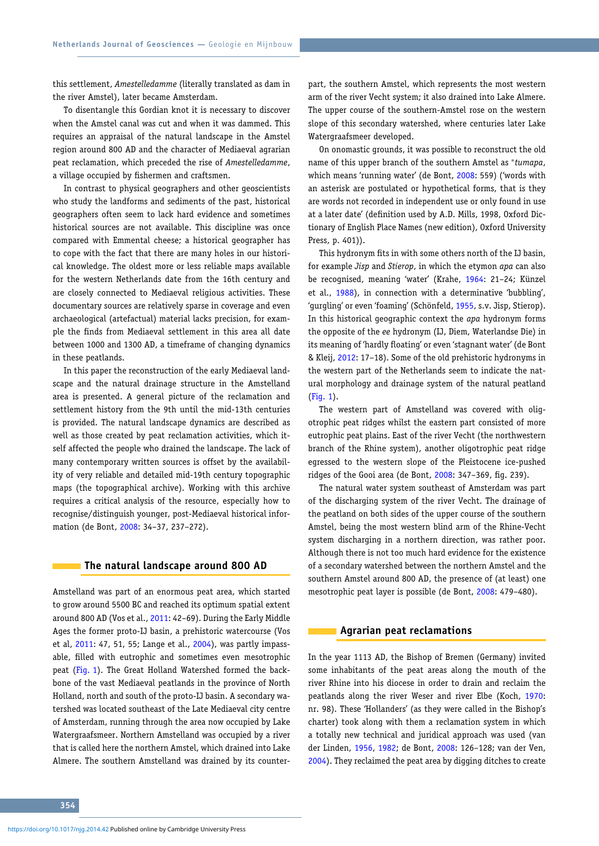this settlement, *Amestelledamme* (literally translated as dam in the river Amstel), later became Amsterdam.

To disentangle this Gordian knot it is necessary to discover when the Amstel canal was cut and when it was dammed. This requires an appraisal of the natural landscape in the Amstel region around 800 AD and the character of Mediaeval agrarian peat reclamation, which preceded the rise of *Amestelledamme*, a village occupied by fishermen and craftsmen.

In contrast to physical geographers and other geoscientists who study the landforms and sediments of the past, historical geographers often seem to lack hard evidence and sometimes historical sources are not available. This discipline was once compared with Emmental cheese; a historical geographer has to cope with the fact that there are many holes in our historical knowledge. The oldest more or less reliable maps available for the western Netherlands date from the 16th century and are closely connected to Mediaeval religious activities. These documentary sources are relatively sparse in coverage and even archaeological (artefactual) material lacks precision, for example the finds from Mediaeval settlement in this area all date between 1000 and 1300 AD, a timeframe of changing dynamics in these peatlands.

In this paper the reconstruction of the early Mediaeval landscape and the natural drainage structure in the Amstelland area is presented. A general picture of the reclamation and settlement history from the 9th until the mid-13th centuries is provided. The natural landscape dynamics are described as well as those created by peat reclamation activities, which itself affected the people who drained the landscape. The lack of many contemporary written sources is offset by the availability of very reliable and detailed mid-19th century topographic maps (the topographical archive). Working with this archive requires a critical analysis of the resource, especially how to recognise/distinguish younger, post-Mediaeval historical information (de Bont, [2008:](#page-6-0) 34–37, 237–272).

## **The natural landscape around 800 AD**

Amstelland was part of an enormous peat area, which started to grow around 5500 BC and reached its optimum spatial extent around 800 AD (Vos et al., [2011:](#page-7-0) 42–69). During the Early Middle Ages the former proto-IJ basin, a prehistoric watercourse (Vos et al, [2011:](#page-7-0) 47, 51, 55; Lange et al., [2004\)](#page-6-0), was partly impassable, filled with eutrophic and sometimes even mesotrophic peat [\(Fig. 1\)](#page-2-0). The Great Holland Watershed formed the backbone of the vast Mediaeval peatlands in the province of North Holland, north and south of the proto-IJ basin. A secondary watershed was located southeast of the Late Mediaeval city centre of Amsterdam, running through the area now occupied by Lake Watergraafsmeer. Northern Amstelland was occupied by a river that is called here the northern Amstel, which drained into Lake Almere. The southern Amstelland was drained by its counter-

part, the southern Amstel, which represents the most western arm of the river Vecht system; it also drained into Lake Almere. The upper course of the southern-Amstel rose on the western slope of this secondary watershed, where centuries later Lake Watergraafsmeer developed.

On onomastic grounds, it was possible to reconstruct the old name of this upper branch of the southern Amstel as <sup>∗</sup>*tumapa*, which means 'running water' (de Bont, [2008:](#page-6-0) 559) ('words with an asterisk are postulated or hypothetical forms, that is they are words not recorded in independent use or only found in use at a later date' (definition used by A.D. Mills, 1998, Oxford Dictionary of English Place Names (new edition), Oxford University Press, p. 401)).

This hydronym fits in with some others north of the IJ basin, for example *Jisp* and *Stierop*, in which the etymon *apa* can also be recognised, meaning 'water' (Krahe, [1964:](#page-6-0) 21-24; Künzel et al., [1988\)](#page-6-0), in connection with a determinative 'bubbling', 'gurgling' or even 'foaming' (Schönfeld, [1955,](#page-7-0) s.v. Jisp, Stierop). In this historical geographic context the *apa* hydronym forms the opposite of the *ee* hydronym (IJ, Diem, Waterlandse Die) in its meaning of 'hardly floating' or even 'stagnant water' (de Bont & Kleij, [2012:](#page-6-0) 17–18). Some of the old prehistoric hydronyms in the western part of the Netherlands seem to indicate the natural morphology and drainage system of the natural peatland [\(Fig. 1\)](#page-2-0).

The western part of Amstelland was covered with oligotrophic peat ridges whilst the eastern part consisted of more eutrophic peat plains. East of the river Vecht (the northwestern branch of the Rhine system), another oligotrophic peat ridge egressed to the western slope of the Pleistocene ice-pushed ridges of the Gooi area (de Bont, [2008:](#page-6-0) 347–369, fig. 239).

The natural water system southeast of Amsterdam was part of the discharging system of the river Vecht. The drainage of the peatland on both sides of the upper course of the southern Amstel, being the most western blind arm of the Rhine-Vecht system discharging in a northern direction, was rather poor. Although there is not too much hard evidence for the existence of a secondary watershed between the northern Amstel and the southern Amstel around 800 AD, the presence of (at least) one mesotrophic peat layer is possible (de Bont, [2008:](#page-6-0) 479–480).

# **Agrarian peat reclamations**

In the year 1113 AD, the Bishop of Bremen (Germany) invited some inhabitants of the peat areas along the mouth of the river Rhine into his diocese in order to drain and reclaim the peatlands along the river Weser and river Elbe (Koch, [1970:](#page-6-0) nr. 98). These 'Hollanders' (as they were called in the Bishop's charter) took along with them a reclamation system in which a totally new technical and juridical approach was used (van der Linden, [1956,](#page-7-0) [1982;](#page-7-0) de Bont, [2008:](#page-6-0) 126–128; van der Ven, [2004\)](#page-7-0). They reclaimed the peat area by digging ditches to create

<https://doi.org/10.1017/njg.2014.42> Published online by Cambridge University Press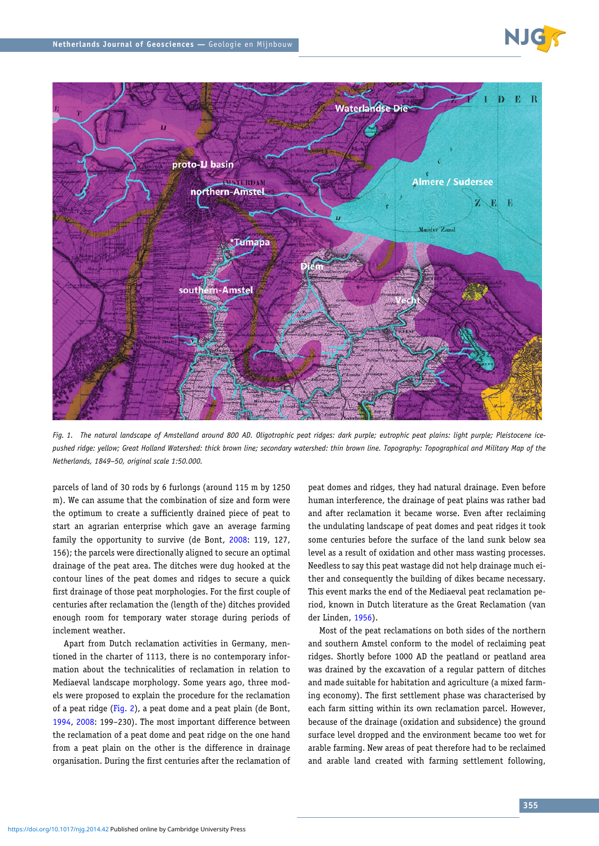

<span id="page-2-0"></span>

*Fig. 1. The natural landscape of Amstelland around 800 AD. Oligotrophic peat ridges: dark purple; eutrophic peat plains: light purple; Pleistocene icepushed ridge: yellow; Great Holland Watershed: thick brown line; secondary watershed: thin brown line. Topography: Topographical and Military Map of the Netherlands, 1849–50, original scale 1:50.000.*

parcels of land of 30 rods by 6 furlongs (around 115 m by 1250 m). We can assume that the combination of size and form were the optimum to create a sufficiently drained piece of peat to start an agrarian enterprise which gave an average farming family the opportunity to survive (de Bont, [2008:](#page-6-0) 119, 127, 156); the parcels were directionally aligned to secure an optimal drainage of the peat area. The ditches were dug hooked at the contour lines of the peat domes and ridges to secure a quick first drainage of those peat morphologies. For the first couple of centuries after reclamation the (length of the) ditches provided enough room for temporary water storage during periods of inclement weather.

Apart from Dutch reclamation activities in Germany, mentioned in the charter of 1113, there is no contemporary information about the technicalities of reclamation in relation to Mediaeval landscape morphology. Some years ago, three models were proposed to explain the procedure for the reclamation of a peat ridge [\(Fig. 2\)](#page-3-0), a peat dome and a peat plain (de Bont, [1994,](#page-6-0) [2008:](#page-6-0) 199–230). The most important difference between the reclamation of a peat dome and peat ridge on the one hand from a peat plain on the other is the difference in drainage organisation. During the first centuries after the reclamation of

peat domes and ridges, they had natural drainage. Even before human interference, the drainage of peat plains was rather bad and after reclamation it became worse. Even after reclaiming the undulating landscape of peat domes and peat ridges it took some centuries before the surface of the land sunk below sea level as a result of oxidation and other mass wasting processes. Needless to say this peat wastage did not help drainage much either and consequently the building of dikes became necessary. This event marks the end of the Mediaeval peat reclamation period, known in Dutch literature as the Great Reclamation (van der Linden, [1956\)](#page-7-0).

Most of the peat reclamations on both sides of the northern and southern Amstel conform to the model of reclaiming peat ridges. Shortly before 1000 AD the peatland or peatland area was drained by the excavation of a regular pattern of ditches and made suitable for habitation and agriculture (a mixed farming economy). The first settlement phase was characterised by each farm sitting within its own reclamation parcel. However, because of the drainage (oxidation and subsidence) the ground surface level dropped and the environment became too wet for arable farming. New areas of peat therefore had to be reclaimed and arable land created with farming settlement following,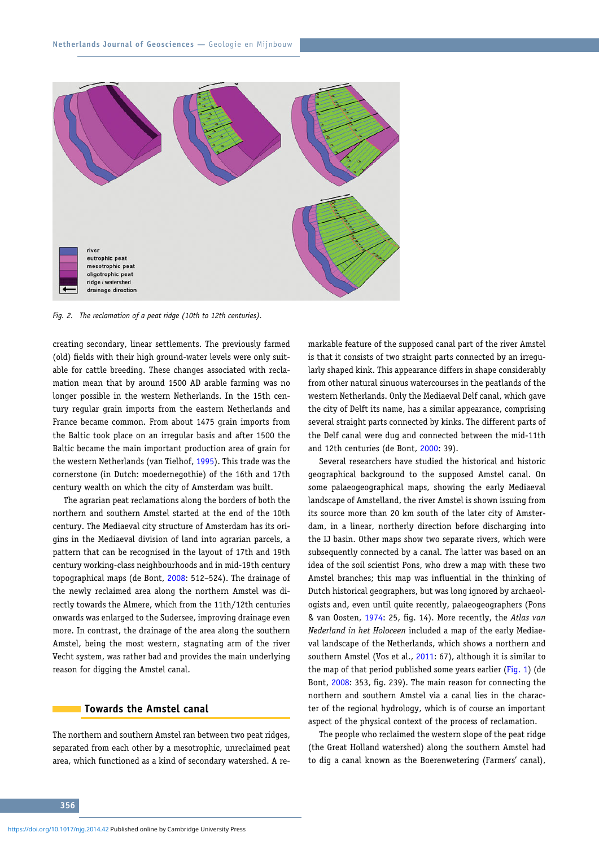<span id="page-3-0"></span>

*Fig. 2. The reclamation of a peat ridge (10th to 12th centuries).*

creating secondary, linear settlements. The previously farmed (old) fields with their high ground-water levels were only suitable for cattle breeding. These changes associated with reclamation mean that by around 1500 AD arable farming was no longer possible in the western Netherlands. In the 15th century regular grain imports from the eastern Netherlands and France became common. From about 1475 grain imports from the Baltic took place on an irregular basis and after 1500 the Baltic became the main important production area of grain for the western Netherlands (van Tielhof, [1995\)](#page-7-0). This trade was the cornerstone (in Dutch: moedernegothie) of the 16th and 17th century wealth on which the city of Amsterdam was built.

The agrarian peat reclamations along the borders of both the northern and southern Amstel started at the end of the 10th century. The Mediaeval city structure of Amsterdam has its origins in the Mediaeval division of land into agrarian parcels, a pattern that can be recognised in the layout of 17th and 19th century working-class neighbourhoods and in mid-19th century topographical maps (de Bont, [2008:](#page-6-0) 512–524). The drainage of the newly reclaimed area along the northern Amstel was directly towards the Almere, which from the 11th/12th centuries onwards was enlarged to the Sudersee, improving drainage even more. In contrast, the drainage of the area along the southern Amstel, being the most western, stagnating arm of the river Vecht system, was rather bad and provides the main underlying reason for digging the Amstel canal.

# **Towards the Amstel canal**

The northern and southern Amstel ran between two peat ridges, separated from each other by a mesotrophic, unreclaimed peat area, which functioned as a kind of secondary watershed. A re-

markable feature of the supposed canal part of the river Amstel is that it consists of two straight parts connected by an irregularly shaped kink. This appearance differs in shape considerably from other natural sinuous watercourses in the peatlands of the western Netherlands. Only the Mediaeval Delf canal, which gave the city of Delft its name, has a similar appearance, comprising several straight parts connected by kinks. The different parts of the Delf canal were dug and connected between the mid-11th and 12th centuries (de Bont, [2000:](#page-6-0) 39).

Several researchers have studied the historical and historic geographical background to the supposed Amstel canal. On some palaeogeographical maps, showing the early Mediaeval landscape of Amstelland, the river Amstel is shown issuing from its source more than 20 km south of the later city of Amsterdam, in a linear, northerly direction before discharging into the IJ basin. Other maps show two separate rivers, which were subsequently connected by a canal. The latter was based on an idea of the soil scientist Pons, who drew a map with these two Amstel branches; this map was influential in the thinking of Dutch historical geographers, but was long ignored by archaeologists and, even until quite recently, palaeogeographers (Pons & van Oosten, [1974:](#page-6-0) 25, fig. 14). More recently, the *Atlas van Nederland in het Holoceen* included a map of the early Mediaeval landscape of the Netherlands, which shows a northern and southern Amstel (Vos et al., [2011:](#page-7-0) 67), although it is similar to the map of that period published some years earlier [\(Fig. 1\)](#page-2-0) (de Bont, [2008:](#page-6-0) 353, fig. 239). The main reason for connecting the northern and southern Amstel via a canal lies in the character of the regional hydrology, which is of course an important aspect of the physical context of the process of reclamation.

The people who reclaimed the western slope of the peat ridge (the Great Holland watershed) along the southern Amstel had to dig a canal known as the Boerenwetering (Farmers' canal),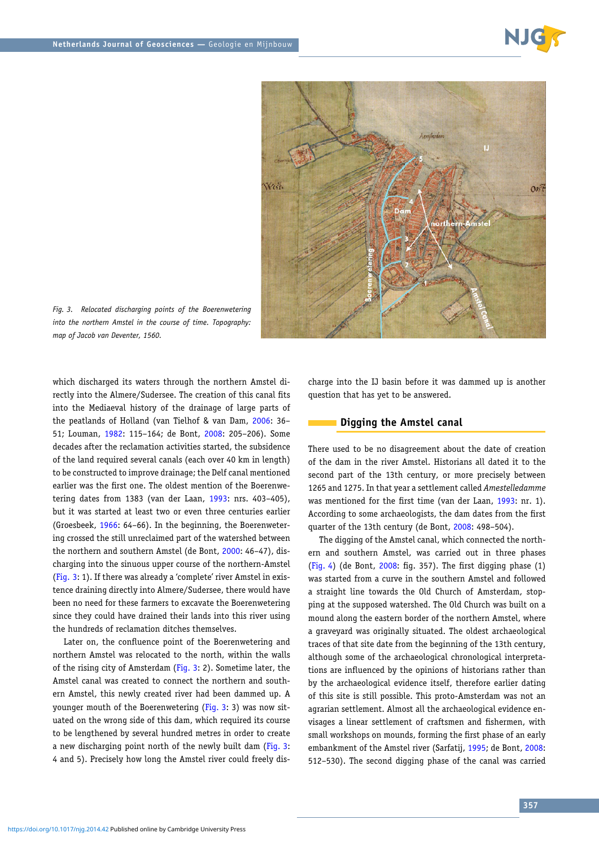



*Fig. 3. Relocated discharging points of the Boerenwetering into the northern Amstel in the course of time. Topography: map of Jacob van Deventer, 1560.*

which discharged its waters through the northern Amstel directly into the Almere/Sudersee. The creation of this canal fits into the Mediaeval history of the drainage of large parts of the peatlands of Holland (van Tielhof & van Dam, [2006:](#page-7-0) 36– 51; Louman, [1982:](#page-6-0) 115–164; de Bont, [2008:](#page-6-0) 205–206). Some decades after the reclamation activities started, the subsidence of the land required several canals (each over 40 km in length) to be constructed to improve drainage; the Delf canal mentioned earlier was the first one. The oldest mention of the Boerenwetering dates from 1383 (van der Laan, [1993:](#page-7-0) nrs. 403–405), but it was started at least two or even three centuries earlier (Groesbeek, [1966:](#page-6-0) 64–66). In the beginning, the Boerenwetering crossed the still unreclaimed part of the watershed between the northern and southern Amstel (de Bont, [2000:](#page-6-0) 46–47), discharging into the sinuous upper course of the northern-Amstel (Fig. 3: 1). If there was already a 'complete' river Amstel in existence draining directly into Almere/Sudersee, there would have been no need for these farmers to excavate the Boerenwetering since they could have drained their lands into this river using the hundreds of reclamation ditches themselves.

Later on, the confluence point of the Boerenwetering and northern Amstel was relocated to the north, within the walls of the rising city of Amsterdam (Fig. 3: 2). Sometime later, the Amstel canal was created to connect the northern and southern Amstel, this newly created river had been dammed up. A younger mouth of the Boerenwetering (Fig. 3: 3) was now situated on the wrong side of this dam, which required its course to be lengthened by several hundred metres in order to create a new discharging point north of the newly built dam (Fig. 3: 4 and 5). Precisely how long the Amstel river could freely discharge into the IJ basin before it was dammed up is another question that has yet to be answered.

# **Digging the Amstel canal**

There used to be no disagreement about the date of creation of the dam in the river Amstel. Historians all dated it to the second part of the 13th century, or more precisely between 1265 and 1275. In that year a settlement called *Amestelledamme* was mentioned for the first time (van der Laan, [1993:](#page-7-0) nr. 1). According to some archaeologists, the dam dates from the first quarter of the 13th century (de Bont, [2008:](#page-6-0) 498–504).

The digging of the Amstel canal, which connected the northern and southern Amstel, was carried out in three phases [\(Fig. 4\)](#page-5-0) (de Bont, [2008:](#page-6-0) fig. 357). The first digging phase (1) was started from a curve in the southern Amstel and followed a straight line towards the Old Church of Amsterdam, stopping at the supposed watershed. The Old Church was built on a mound along the eastern border of the northern Amstel, where a graveyard was originally situated. The oldest archaeological traces of that site date from the beginning of the 13th century, although some of the archaeological chronological interpretations are influenced by the opinions of historians rather than by the archaeological evidence itself, therefore earlier dating of this site is still possible. This proto-Amsterdam was not an agrarian settlement. Almost all the archaeological evidence envisages a linear settlement of craftsmen and fishermen, with small workshops on mounds, forming the first phase of an early embankment of the Amstel river (Sarfatij, [1995;](#page-6-0) de Bont, [2008:](#page-6-0) 512–530). The second digging phase of the canal was carried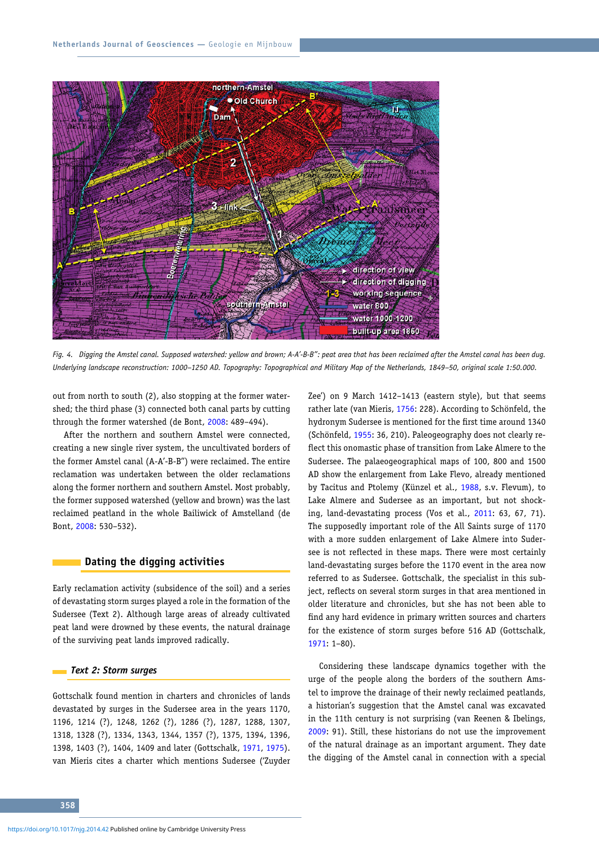<span id="page-5-0"></span>

*Fig. 4. Digging the Amstel canal. Supposed watershed: yellow and brown; A-A'-B-B": peat area that has been reclaimed after the Amstel canal has been dug. Underlying landscape reconstruction: 1000–1250 AD. Topography: Topographical and Military Map of the Netherlands, 1849–50, original scale 1:50.000.*

out from north to south (2), also stopping at the former watershed; the third phase (3) connected both canal parts by cutting through the former watershed (de Bont, [2008:](#page-6-0) 489–494).

After the northern and southern Amstel were connected, creating a new single river system, the uncultivated borders of the former Amstel canal (A-A'-B-B'') were reclaimed. The entire reclamation was undertaken between the older reclamations along the former northern and southern Amstel. Most probably, the former supposed watershed (yellow and brown) was the last reclaimed peatland in the whole Bailiwick of Amstelland (de Bont, [2008:](#page-6-0) 530–532).

## **Dating the digging activities**

Early reclamation activity (subsidence of the soil) and a series of devastating storm surges played a role in the formation of the Sudersee (Text 2). Although large areas of already cultivated peat land were drowned by these events, the natural drainage of the surviving peat lands improved radically.

### *Text 2: Storm surges*

Gottschalk found mention in charters and chronicles of lands devastated by surges in the Sudersee area in the years 1170, 1196, 1214 (?), 1248, 1262 (?), 1286 (?), 1287, 1288, 1307, 1318, 1328 (?), 1334, 1343, 1344, 1357 (?), 1375, 1394, 1396, 1398, 1403 (?), 1404, 1409 and later (Gottschalk, [1971,](#page-6-0) [1975\)](#page-6-0). van Mieris cites a charter which mentions Sudersee ('Zuyder

Zee') on 9 March 1412–1413 (eastern style), but that seems rather late (van Mieris, [1756:](#page-7-0) 228). According to Schönfeld, the hydronym Sudersee is mentioned for the first time around 1340 (Schönfeld, [1955:](#page-7-0) 36, 210). Paleogeography does not clearly reflect this onomastic phase of transition from Lake Almere to the Sudersee. The palaeogeographical maps of 100, 800 and 1500 AD show the enlargement from Lake Flevo, already mentioned by Tacitus and Ptolemy (Künzel et al., [1988,](#page-6-0) s.v. Flevum), to Lake Almere and Sudersee as an important, but not shocking, land-devastating process (Vos et al., [2011:](#page-7-0) 63, 67, 71). The supposedly important role of the All Saints surge of 1170 with a more sudden enlargement of Lake Almere into Sudersee is not reflected in these maps. There were most certainly land-devastating surges before the 1170 event in the area now referred to as Sudersee. Gottschalk, the specialist in this subject, reflects on several storm surges in that area mentioned in older literature and chronicles, but she has not been able to find any hard evidence in primary written sources and charters for the existence of storm surges before 516 AD (Gottschalk, [1971:](#page-6-0) 1–80).

Considering these landscape dynamics together with the urge of the people along the borders of the southern Amstel to improve the drainage of their newly reclaimed peatlands, a historian's suggestion that the Amstel canal was excavated in the 11th century is not surprising (van Reenen & Ibelings, [2009:](#page-7-0) 91). Still, these historians do not use the improvement of the natural drainage as an important argument. They date the digging of the Amstel canal in connection with a special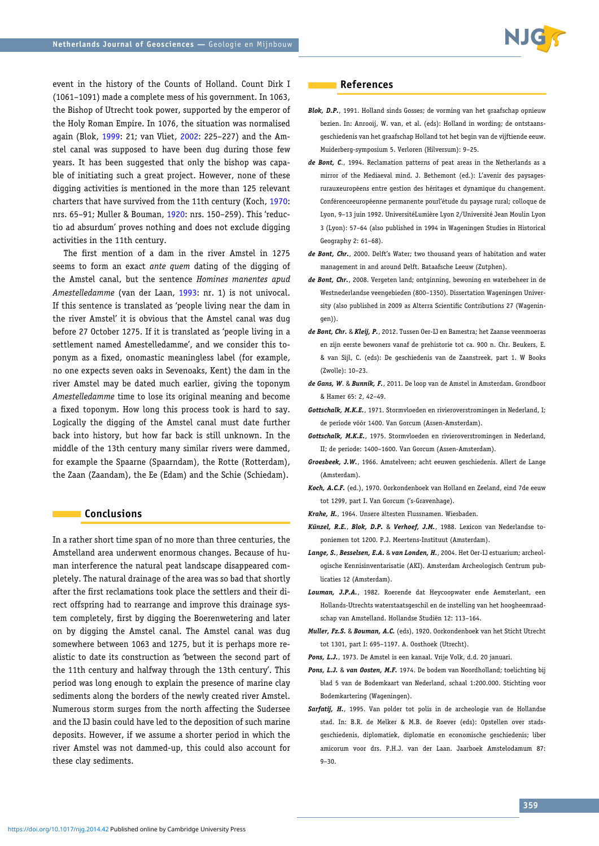<span id="page-6-0"></span>event in the history of the Counts of Holland. Count Dirk I (1061–1091) made a complete mess of his government. In 1063, the Bishop of Utrecht took power, supported by the emperor of the Holy Roman Empire. In 1076, the situation was normalised again (Blok, 1999: 21; van Vliet, [2002:](#page-7-0) 225–227) and the Amstel canal was supposed to have been dug during those few years. It has been suggested that only the bishop was capable of initiating such a great project. However, none of these digging activities is mentioned in the more than 125 relevant charters that have survived from the 11th century (Koch, 1970: nrs. 65–91; Muller & Bouman, 1920: nrs. 150–259). This 'reductio ad absurdum' proves nothing and does not exclude digging activities in the 11th century.

The first mention of a dam in the river Amstel in 1275 seems to form an exact *ante quem* dating of the digging of the Amstel canal, but the sentence *Homines manentes apud Amestelledamme* (van der Laan, [1993:](#page-7-0) nr. 1) is not univocal. If this sentence is translated as 'people living near the dam in the river Amstel' it is obvious that the Amstel canal was dug before 27 October 1275. If it is translated as 'people living in a settlement named Amestelledamme', and we consider this toponym as a fixed, onomastic meaningless label (for example, no one expects seven oaks in Sevenoaks, Kent) the dam in the river Amstel may be dated much earlier, giving the toponym *Amestelledamme* time to lose its original meaning and become a fixed toponym. How long this process took is hard to say. Logically the digging of the Amstel canal must date further back into history, but how far back is still unknown. In the middle of the 13th century many similar rivers were dammed, for example the Spaarne (Spaarndam), the Rotte (Rotterdam), the Zaan (Zaandam), the Ee (Edam) and the Schie (Schiedam).

# **Conclusions**

In a rather short time span of no more than three centuries, the Amstelland area underwent enormous changes. Because of human interference the natural peat landscape disappeared completely. The natural drainage of the area was so bad that shortly after the first reclamations took place the settlers and their direct offspring had to rearrange and improve this drainage system completely, first by digging the Boerenwetering and later on by digging the Amstel canal. The Amstel canal was dug somewhere between 1063 and 1275, but it is perhaps more realistic to date its construction as 'between the second part of the 11th century and halfway through the 13th century'. This period was long enough to explain the presence of marine clay sediments along the borders of the newly created river Amstel. Numerous storm surges from the north affecting the Sudersee and the IJ basin could have led to the deposition of such marine deposits. However, if we assume a shorter period in which the river Amstel was not dammed-up, this could also account for these clay sediments.

## **References**

- *Blok, D.P.*, 1991. Holland sinds Gosses; de vorming van het graafschap opnieuw bezien. In: Anrooij, W. van, et al. (eds): Holland in wording; de ontstaansgeschiedenis van het graafschap Holland tot het begin van de vijftiende eeuw. Muiderberg-symposium 5. Verloren (Hilversum): 9–25.
- *de Bont, C*., 1994. Reclamation patterns of peat areas in the Netherlands as a mirror of the Mediaeval mind. J. Bethemont (ed.): L'avenir des paysagesrurauxeuropéens entre gestion des héritages et dynamique du changement. Conférenceeuropéenne permanente pourl'étude du paysage rural; colloque de Lyon, 9-13 juin 1992. UniversitéLumière Lyon 2/Université Jean Moulin Lyon 3 (Lyon): 57–64 (also published in 1994 in Wageningen Studies in Historical Geography 2: 61–68).
- *de Bont, Chr.*, 2000. Delft's Water; two thousand years of habitation and water management in and around Delft. Bataafsche Leeuw (Zutphen).
- *de Bont, Chr.*, 2008. Vergeten land; ontginning, bewoning en waterbeheer in de Westnederlandse veengebieden (800–1350). Dissertation Wageningen University (also published in 2009 as Alterra Scientific Contributions 27 (Wageningen)).
- *de Bont, Chr.* & *Kleij, P.*, 2012. Tussen Oer-IJ en Bamestra; het Zaanse veenmoeras en zijn eerste bewoners vanaf de prehistorie tot ca. 900 n. Chr. Beukers, E. & van Sijl, C. (eds): De geschiedenis van de Zaanstreek, part 1. W Books (Zwolle): 10–23.
- *de Gans, W*. & *Bunnik, F.*, 2011. De loop van de Amstel in Amsterdam. Grondboor & Hamer 65: 2, 42–49.
- *Gottschalk, M.K.E.*, 1971. Stormvloeden en rivieroverstromingen in Nederland, I; de periode vóór 1400. Van Gorcum (Assen-Amsterdam).
- *Gottschalk, M.K.E.*, 1975. Stormvloeden en rivieroverstromingen in Nederland, II; de periode: 1400–1600. Van Gorcum (Assen-Amsterdam).
- *Groesbeek, J.W.*, 1966. Amstelveen; acht eeuwen geschiedenis. Allert de Lange (Amsterdam).
- *Koch, A.C.F.* (ed.), 1970. Oorkondenboek van Holland en Zeeland, eind 7de eeuw tot 1299, part I. Van Gorcum ('s-Gravenhage).
- *Krahe, H.*, 1964. Unsere ältesten Flussnamen. Wiesbaden.
- *Künzel, R.E., Blok, D.P. & Verhoef, J.M., 1988. Lexicon van Nederlandse to*poniemen tot 1200. P.J. Meertens-Instituut (Amsterdam).
- *Lange, S.*, *Besselsen, E.A.* & *van Londen, H.*, 2004. Het Oer-IJ estuarium; archeologische Kennisinventarisatie (AKI). Amsterdam Archeologisch Centrum publicaties 12 (Amsterdam).
- *Louman, J.P.A.*, 1982. Roerende dat Heycoopwater ende Aemsterlant, een Hollands-Utrechts waterstaatsgeschil en de instelling van het hoogheemraadschap van Amstelland. Hollandse Studiën 12: 113-164.
- *Muller, Fz.S.* & *Bouman, A.C.* (eds), 1920. Oorkondenboek van het Sticht Utrecht tot 1301, part I: 695–1197. A. Oosthoek (Utrecht).
- *Pons, L.J.*, 1973. De Amstel is een kanaal. Vrije Volk, d.d. 20 januari.
- *Pons, L.J.* & *van Oosten, M.F.* 1974. De bodem van Noordholland; toelichting bij blad 5 van de Bodemkaart van Nederland, schaal 1:200.000. Stichting voor Bodemkartering (Wageningen).
- *Sarfatij, H.*, 1995. Van polder tot polis in de archeologie van de Hollandse stad. In: B.R. de Melker & M.B. de Roever (eds): Opstellen over stadsgeschiedenis, diplomatiek, diplomatie en economische geschiedenis; liber amicorum voor drs. P.H.J. van der Laan. Jaarboek Amstelodamum 87: 9–30.